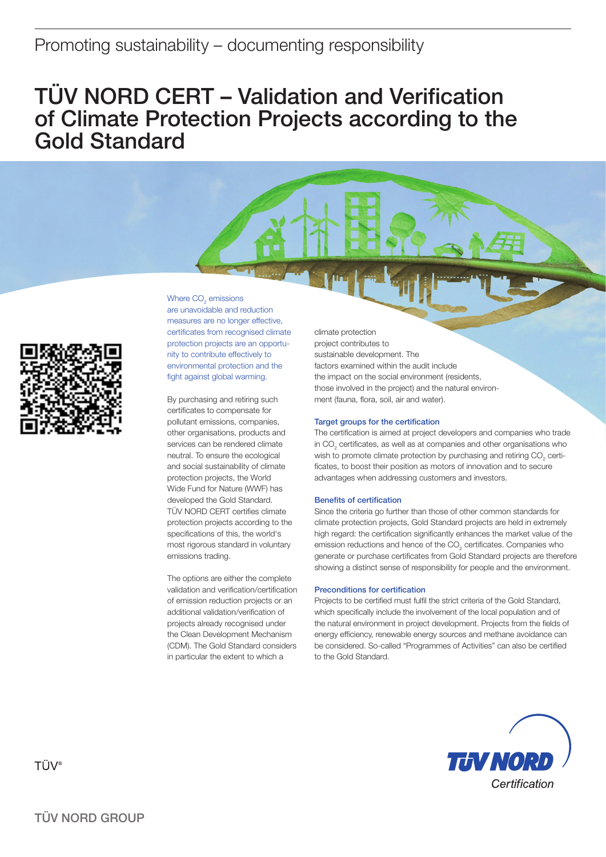# TÜV NORD CERT – Validation and Verification of Climate Protection Projects according to the Gold Standard



Where  $\mathsf{CO}_2$  emissions

are unavoidable and reduction measures are no longer effective, certificates from recognised climate protection projects are an opportunity to contribute effectively to environmental protection and the fight against global warming.

By purchasing and retiring such certificates to compensate for pollutant emissions, companies, other organisations, products and services can be rendered climate neutral. To ensure the ecological and social sustainability of climate protection projects, the World Wide Fund for Nature (WWF) has developed the Gold Standard. TÜV NORD CERT certifies climate protection projects according to the specifications of this, the world's most rigorous standard in voluntary emissions trading.

The options are either the complete validation and verification/certification of emission reduction projects or an additional validation/verification of projects already recognised under the Clean Development Mechanism (CDM). The Gold Standard considers in particular the extent to which a

climate protection project contributes to sustainable development. The factors examined within the audit include the impact on the social environment (residents, those involved in the project) and the natural environment (fauna, flora, soil, air and water).

### Target groups for the certification

The certification is aimed at project developers and companies who trade in CO<sub>2</sub> certificates, as well as at companies and other organisations who wish to promote climate protection by purchasing and retiring CO<sub>2</sub> certificates, to boost their position as motors of innovation and to secure advantages when addressing customers and investors.

#### Benefits of certification

Since the criteria go further than those of other common standards for climate protection projects, Gold Standard projects are held in extremely high regard: the certification significantly enhances the market value of the emission reductions and hence of the  $\mathrm{CO}_2$  certificates. Companies who generate or purchase certificates from Gold Standard projects are therefore showing a distinct sense of responsibility for people and the environment.

#### Preconditions for certification

Projects to be certified must fulfil the strict criteria of the Gold Standard, which specifically include the involvement of the local population and of the natural environment in project development. Projects from the fields of energy efficiency, renewable energy sources and methane avoidance can be considered. So-called "Programmes of Activities" can also be certified to the Gold Standard.



**TÜV®**